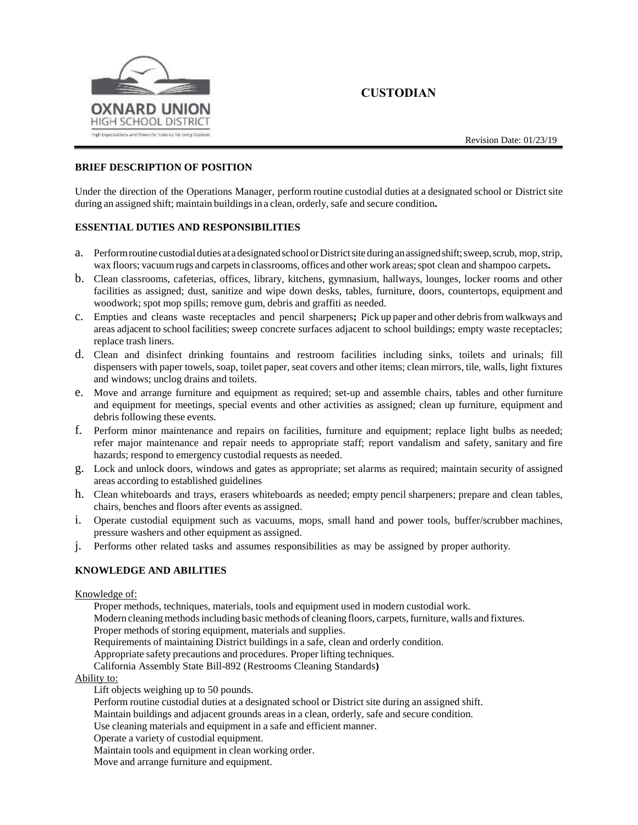

# **CUSTODIAN**

#### **BRIEF DESCRIPTION OF POSITION**

Under the direction of the Operations Manager, perform routine custodial duties at a designated school or District site during an assigned shift; maintain buildings in a clean, orderly, safe and secure condition.

#### **ESSENTIAL DUTIES AND RESPONSIBILITIES**

- a. Performroutine custodialduties atadesignated schoolorDistrictsiteduringanassignedshift;sweep,scrub, mop,strip, wax floors; vacuum rugs and carpets in classrooms, offices and other work areas; spot clean and shampoo carpets.
- b. Clean classrooms, cafeterias, offices, library, kitchens, gymnasium, hallways, lounges, locker rooms and other facilities as assigned; dust, sanitize and wipe down desks, tables, furniture, doors, countertops, equipment and woodwork; spot mop spills; remove gum, debris and graffiti as needed.
- c. Empties and cleans waste receptacles and pencil sharpeners**;** Pick up paper and other debrisfromwalkways and areas adjacent to school facilities; sweep concrete surfaces adjacent to school buildings; empty waste receptacles; replace trash liners.
- d. Clean and disinfect drinking fountains and restroom facilities including sinks, toilets and urinals; fill dispensers with paper towels, soap, toilet paper, seat covers and other items; clean mirrors, tile, walls, light fixtures and windows; unclog drains and toilets.
- e. Move and arrange furniture and equipment as required; set-up and assemble chairs, tables and other furniture and equipment for meetings, special events and other activities as assigned; clean up furniture, equipment and debris following these events.
- f. Perform minor maintenance and repairs on facilities, furniture and equipment; replace light bulbs as needed; refer major maintenance and repair needs to appropriate staff; report vandalism and safety, sanitary and fire hazards; respond to emergency custodial requests as needed.
- g. Lock and unlock doors, windows and gates as appropriate; set alarms as required; maintain security of assigned areas according to established guidelines
- h. Clean whiteboards and trays, erasers whiteboards as needed; empty pencil sharpeners; prepare and clean tables, chairs, benches and floors after events as assigned.
- i. Operate custodial equipment such as vacuums, mops, small hand and power tools, buffer/scrubber machines, pressure washers and other equipment as assigned.
- j. Performs other related tasks and assumes responsibilities as may be assigned by proper authority.

### **KNOWLEDGE AND ABILITIES**

#### Knowledge of:

Proper methods, techniques, materials, tools and equipment used in modern custodial work.

Modern cleaning methods including basic methods of cleaning floors, carpets, furniture, walls and fixtures.

Proper methods of storing equipment, materials and supplies.

Requirements of maintaining District buildings in a safe, clean and orderly condition.

Appropriate safety precautions and procedures. Proper lifting techniques.

California Assembly State Bill-892 (Restrooms Cleaning Standards**)**

### Ability to:

Lift objects weighing up to 50 pounds.

Perform routine custodial duties at a designated school or District site during an assigned shift.

Maintain buildings and adjacent grounds areas in a clean, orderly, safe and secure condition.

Use cleaning materials and equipment in a safe and efficient manner.

Operate a variety of custodial equipment.

Maintain tools and equipment in clean working order.

Move and arrange furniture and equipment.